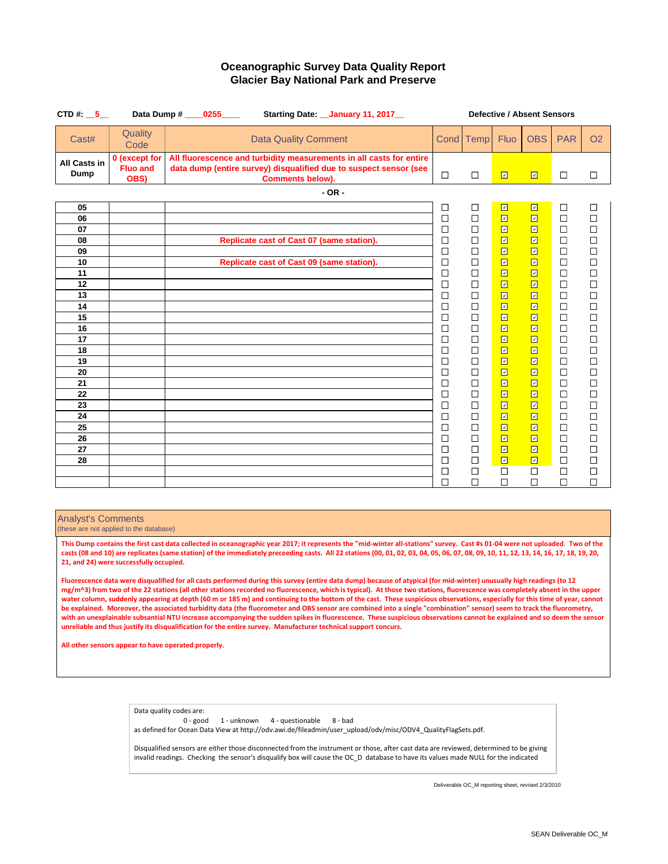| CTD #: $\_5$                |                                          | Data Dump # 0255<br>Starting Date: January 11, 2017                                                                                                                 | <b>Defective / Absent Sensors</b> |                            |                     |                                                   |                            |                            |  |
|-----------------------------|------------------------------------------|---------------------------------------------------------------------------------------------------------------------------------------------------------------------|-----------------------------------|----------------------------|---------------------|---------------------------------------------------|----------------------------|----------------------------|--|
| Cast#                       | Quality<br>Code                          | <b>Data Quality Comment</b>                                                                                                                                         |                                   | Cond Temp                  | Fluo                | <b>OBS</b>                                        | <b>PAR</b>                 | <b>O2</b>                  |  |
| All Casts in<br>Dump        | 0 (except for<br><b>Fluo and</b><br>OBS) | All fluorescence and turbidity measurements in all casts for entire<br>data dump (entire survey) disqualified due to suspect sensor (see<br><b>Comments below).</b> | $\Box$                            | □                          | $\overline{\Xi}$    | $\overline{\Xi}$                                  | $\Box$                     | $\Box$                     |  |
|                             |                                          | $-OR -$                                                                                                                                                             |                                   |                            |                     |                                                   |                            |                            |  |
| 05<br>06                    |                                          |                                                                                                                                                                     | □<br>$\Box$<br>$\Box$             | □<br>$\Box$                | ⊡<br>⊡<br>回         | ⊡<br>⊡                                            | □<br>$\Box$                | □<br>$\Box$                |  |
| 07<br>08<br>09              |                                          | Replicate cast of Cast 07 (same station).                                                                                                                           | $\Box$<br>□                       | $\Box$<br>$\Box$<br>$\Box$ | 回<br>回              | ⊡<br>$\overline{\boxdot}$<br>$\overline{\boxdot}$ | □<br>$\Box$<br>$\Box$      | $\Box$<br>$\Box$<br>$\Box$ |  |
| 10<br>$\overline{11}$<br>12 |                                          | Replicate cast of Cast 09 (same station).                                                                                                                           | $\Box$<br>$\Box$<br>□             | $\Box$<br>$\Box$<br>$\Box$ | 回<br>⊡<br>⊡         | $\overline{\boxdot}$<br>$\boxdot$<br>⊡            | $\Box$<br>$\Box$<br>$\Box$ | $\Box$<br>$\Box$<br>$\Box$ |  |
| 13<br>14<br>15              |                                          |                                                                                                                                                                     | $\Box$<br>$\Box$<br>$\Box$        | $\Box$<br>$\Box$<br>$\Box$ | 回<br>$\boxdot$<br>回 | $\boxdot$<br>$\boxdot$<br>$\boxdot$               | $\Box$<br>$\Box$<br>$\Box$ | $\Box$<br>$\Box$<br>$\Box$ |  |
| 16<br>17                    |                                          |                                                                                                                                                                     | $\Box$<br>$\Box$                  | $\Box$<br>$\Box$           | 回<br>⊡              | $\overline{\boxdot}$<br>⊡                         | $\Box$<br>$\Box$           | $\Box$<br>$\Box$           |  |
| 18<br>19<br>20              |                                          |                                                                                                                                                                     | □<br>$\Box$<br>□                  | $\Box$<br>$\Box$<br>$\Box$ | ⊡<br>回<br>回         | ⊡<br>$\boxdot$<br>$\boxdot$                       | $\Box$<br>$\Box$<br>$\Box$ | $\Box$<br>$\Box$<br>$\Box$ |  |
| 21<br>22                    |                                          |                                                                                                                                                                     | □<br>П                            | $\Box$<br>$\Box$           | $\Box$<br>$\Box$    | $\boxdot$<br>$\boxdot$                            | $\Box$<br>$\Box$           | $\Box$<br>$\Box$           |  |
| 23<br>24<br>25              |                                          |                                                                                                                                                                     | $\Box$<br>□<br>$\Box$             | $\Box$<br>$\Box$<br>$\Box$ | 回<br>⊡<br>回         | $\overline{\boxdot}$<br>⊡<br>⊡                    | $\Box$<br>□<br>$\Box$      | $\Box$<br>$\Box$<br>$\Box$ |  |
| 26<br>27                    |                                          |                                                                                                                                                                     | $\Box$<br>□                       | $\Box$<br>□                | 回<br>⊡              | $\overline{\boxdot}$<br>⊡                         | $\Box$<br>$\Box$           | $\Box$<br>$\Box$           |  |
| 28                          |                                          |                                                                                                                                                                     | □<br>□<br>П                       | $\Box$<br>□<br>$\Box$      | 回<br>П<br>$\Box$    | ⊡<br>□<br>$\Box$                                  | $\Box$<br>□<br>$\Box$      | $\Box$<br>$\Box$<br>$\Box$ |  |

### Analyst's Comments

(these are not applied to the database)

**This Dump contains the first cast data collected in oceanographic year 2017; it represents the "mid-winter all-stations" survey. Cast #s 01-04 were not uploaded. Two of the casts (08 and 10) are replicates (same station) of the immediately preceeding casts. All 22 stations (00, 01, 02, 03, 04, 05, 06, 07, 08, 09, 10, 11, 12, 13, 14, 16, 17, 18, 19, 20, 21, and 24) were successfully occupied.**

**Fluorescence data were disqualified for all casts performed during this survey (entire data dump) because of atypical (for mid-winter) unusually high readings (to 12**  mg/m^3) from two of the 22 stations (all other stations recorded no fluorescence, which is typical). At those two stations, fluorescence was completely absent in the upper water column, suddenly appearing at depth (60 m or 185 m) and continuing to the bottom of the cast. These suspicious observations, especially for this time of year, cannot **be explained. Moreover, the associated turbidity data (the fluorometer and OBS sensor are combined into a single "combination" sensor) seem to track the fluorometry, with an unexplainable subsantial NTU increase accompanying the sudden spikes in fluorescence. These suspicious observations cannot be explained and so deem the sensor unreliable and thus justify its disqualification for the entire survey. Manufacturer technical support concurs.**

**All other sensors appear to have operated properly.**

Data quality codes are: 0 - good 1 - unknown 4 - questionable 8 - bad as defined for Ocean Data View at http://odv.awi.de/fileadmin/user\_upload/odv/misc/ODV4\_QualityFlagSets.pdf.

Disqualified sensors are either those disconnected from the instrument or those, after cast data are reviewed, determined to be giving invalid readings. Checking the sensor's disqualify box will cause the OC\_D database to have its values made NULL for the indicated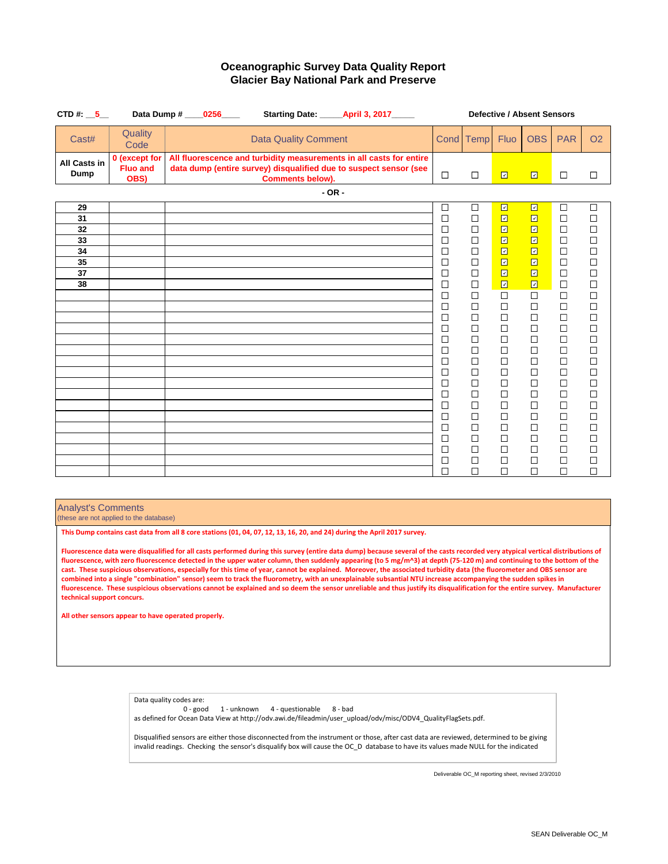| CTD#: $5$            |                                          | Data Dump # 0256<br>Starting Date: ______April 3, 2017_____                                                                                                         | <b>Defective / Absent Sensors</b> |                  |                       |                               |                  |                  |  |
|----------------------|------------------------------------------|---------------------------------------------------------------------------------------------------------------------------------------------------------------------|-----------------------------------|------------------|-----------------------|-------------------------------|------------------|------------------|--|
| Cast#                | Quality<br>Code                          | <b>Data Quality Comment</b>                                                                                                                                         |                                   | Cond Temp        | Fluo                  | <b>OBS</b>                    | <b>PAR</b>       | O <sub>2</sub>   |  |
| All Casts in<br>Dump | 0 (except for<br><b>Fluo and</b><br>OBS) | All fluorescence and turbidity measurements in all casts for entire<br>data dump (entire survey) disqualified due to suspect sensor (see<br><b>Comments below).</b> | $\Box$                            | $\Box$           | $\overline{\Xi}$      | $\overline{\Xi}$              | $\Box$           | □                |  |
|                      |                                          | $-OR -$                                                                                                                                                             |                                   |                  |                       |                               |                  |                  |  |
| 29                   |                                          |                                                                                                                                                                     | □                                 | $\Box$           | 回                     | $\boxdot$                     | □                | □                |  |
| 31                   |                                          |                                                                                                                                                                     | $\Box$                            | $\Box$           | 回                     | $\boxdot$                     | $\Box$           | $\Box$           |  |
| 32                   |                                          |                                                                                                                                                                     | □                                 | $\Box$           | $\overline{\Xi}$      | $\boxdot$                     | $\Box$           | $\Box$           |  |
| 33<br>34             |                                          |                                                                                                                                                                     | □                                 | $\Box$<br>$\Box$ | $\overline{\Xi}$<br>回 | $\overline{\Xi}$              | $\Box$           | $\Box$<br>$\Box$ |  |
| 35                   |                                          |                                                                                                                                                                     | □<br>□                            | $\Box$           | $\boxdot$             | $\boxdot$<br>$\overline{\Xi}$ | $\Box$<br>$\Box$ | $\Box$           |  |
| 37                   |                                          |                                                                                                                                                                     | □                                 | $\Box$           | $\overline{\Xi}$      | $\overline{\Xi}$              | $\Box$           | $\Box$           |  |
| 38                   |                                          |                                                                                                                                                                     | □                                 | $\Box$           | $\boxdot$             | $\boxdot$                     | $\Box$           | $\Box$           |  |
|                      |                                          |                                                                                                                                                                     | □                                 | $\Box$           | $\Box$                | $\Box$                        | $\Box$           | $\Box$           |  |
|                      |                                          |                                                                                                                                                                     | □                                 | $\Box$           | $\Box$                | $\Box$                        | $\Box$           | $\Box$           |  |
|                      |                                          |                                                                                                                                                                     | $\Box$                            | $\Box$           | $\Box$                | $\Box$                        | $\Box$           | $\Box$           |  |
|                      |                                          |                                                                                                                                                                     | □<br>□                            | $\Box$<br>$\Box$ | $\Box$<br>$\Box$      | $\Box$<br>$\Box$              | $\Box$<br>$\Box$ | $\Box$<br>$\Box$ |  |
|                      |                                          |                                                                                                                                                                     | □                                 | $\Box$           | $\Box$                | $\Box$                        | $\Box$           | $\Box$           |  |
|                      |                                          |                                                                                                                                                                     | $\Box$                            | $\Box$           | $\Box$                | $\Box$                        | $\Box$           | $\Box$           |  |
|                      |                                          |                                                                                                                                                                     | □                                 | $\Box$           | $\Box$                | $\Box$                        | $\Box$           | $\Box$           |  |
|                      |                                          |                                                                                                                                                                     | □                                 | $\Box$           | $\Box$                | $\Box$                        | $\Box$           | $\Box$           |  |
|                      |                                          |                                                                                                                                                                     | □                                 | $\Box$           | $\Box$                | $\Box$                        | $\Box$           | $\Box$           |  |
|                      |                                          |                                                                                                                                                                     | □                                 | $\Box$           | $\Box$                | $\Box$                        | $\Box$           | $\Box$           |  |
|                      |                                          |                                                                                                                                                                     | □                                 | $\Box$           | $\Box$                | $\Box$                        | $\Box$           | $\Box$           |  |
|                      |                                          |                                                                                                                                                                     | □<br>□                            | $\Box$<br>$\Box$ | $\Box$<br>$\Box$      | $\Box$<br>$\Box$              | $\Box$<br>$\Box$ | $\Box$<br>$\Box$ |  |
|                      |                                          |                                                                                                                                                                     | □                                 | $\Box$           | $\Box$                | $\Box$                        | $\Box$           | $\Box$           |  |
|                      |                                          |                                                                                                                                                                     | $\Box$                            | $\Box$           | $\Box$                | $\Box$                        | $\Box$           | $\Box$           |  |
|                      |                                          |                                                                                                                                                                     | $\Box$                            | $\Box$           | $\Box$                | $\Box$                        | $\Box$           | $\Box$           |  |

### Analyst's Comments

(these are not applied to the database)

**This Dump contains cast data from all 8 core stations (01, 04, 07, 12, 13, 16, 20, and 24) during the April 2017 survey.** 

**Fluorescence data were disqualified for all casts performed during this survey (entire data dump) because several of the casts recorded very atypical vertical distributions of**  fluorescence, with zero fluorescence detected in the upper water column, then suddenly appearing (to 5 mg/m^3) at depth (75-120 m) and continuing to the bottom of the **cast. These suspicious observations, especially for this time of year, cannot be explained. Moreover, the associated turbidity data (the fluorometer and OBS sensor are combined into a single "combination" sensor) seem to track the fluorometry, with an unexplainable subsantial NTU increase accompanying the sudden spikes in fluorescence. These suspicious observations cannot be explained and so deem the sensor unreliable and thus justify its disqualification for the entire survey. Manufacturer technical support concurs.**

**All other sensors appear to have operated properly.**

Data quality codes are:<br>0 - good 1 - unknown 4 - questionable 8 - bad as defined for Ocean Data View at http://odv.awi.de/fileadmin/user\_upload/odv/misc/ODV4\_QualityFlagSets.pdf.

Disqualified sensors are either those disconnected from the instrument or those, after cast data are reviewed, determined to be giving invalid readings. Checking the sensor's disqualify box will cause the OC\_D database to have its values made NULL for the indicated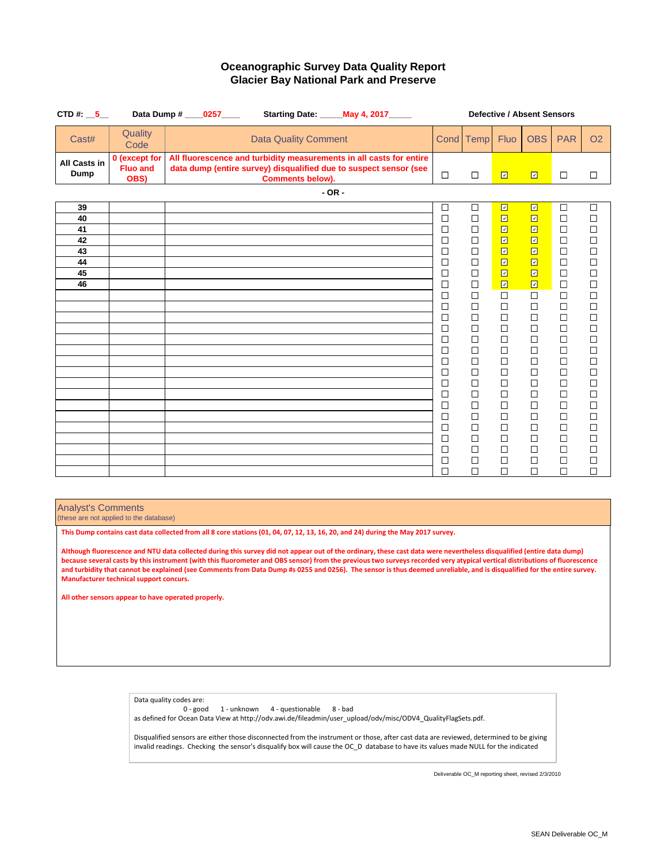| CTD #: $\_5$         |                                          | Data Dump # _____0257_____<br>Starting Date: _____ May 4, 2017_____                                                                                                 | <b>Defective / Absent Sensors</b> |                                      |                                         |                                                                 |                                      |                                      |  |
|----------------------|------------------------------------------|---------------------------------------------------------------------------------------------------------------------------------------------------------------------|-----------------------------------|--------------------------------------|-----------------------------------------|-----------------------------------------------------------------|--------------------------------------|--------------------------------------|--|
| Cast#                | Quality<br>Code                          | <b>Data Quality Comment</b>                                                                                                                                         |                                   | Cond Temp                            | Fluo                                    | <b>OBS</b>                                                      | <b>PAR</b>                           | <b>O2</b>                            |  |
| All Casts in<br>Dump | 0 (except for<br><b>Fluo and</b><br>OBS) | All fluorescence and turbidity measurements in all casts for entire<br>data dump (entire survey) disqualified due to suspect sensor (see<br><b>Comments below).</b> | $\Box$                            | $\Box$                               | $\Box$                                  | $\overline{\Xi}$                                                | $\Box$                               | □                                    |  |
|                      |                                          | $-OR -$                                                                                                                                                             |                                   |                                      |                                         |                                                                 |                                      |                                      |  |
| 39<br>40<br>41<br>42 |                                          |                                                                                                                                                                     | □<br>$\Box$<br>□<br>□             | $\Box$<br>$\Box$<br>$\Box$<br>$\Box$ | 回<br>$\boxdot$<br>$\overline{\Xi}$<br>☑ | $\boxdot$<br>$\overline{\Xi}$<br>$\Box$<br>$\overline{\boxdot}$ | □<br>$\Box$<br>$\Box$<br>$\Box$      | □<br>$\Box$<br>□<br>$\Box$           |  |
| 43<br>44<br>45<br>46 |                                          |                                                                                                                                                                     | □<br>□<br>□<br>□                  | $\Box$<br>$\Box$<br>$\Box$<br>$\Box$ | 回<br>回<br>$\overline{\Xi}$<br>$\boxdot$ | $\overline{\Xi}$<br>$\overline{\Xi}$<br>$\Box$<br>$\boxdot$     | $\Box$<br>$\Box$<br>$\Box$<br>$\Box$ | $\Box$<br>$\Box$<br>$\Box$<br>$\Box$ |  |
|                      |                                          |                                                                                                                                                                     | □<br>□<br>□                       | $\Box$<br>$\Box$<br>$\Box$           | $\Box$<br>$\Box$<br>$\Box$              | $\Box$<br>$\Box$<br>$\Box$                                      | $\Box$<br>$\Box$<br>$\Box$           | $\Box$<br>$\Box$<br>$\Box$           |  |
|                      |                                          |                                                                                                                                                                     | □<br>$\Box$<br>□<br>$\Box$        | $\Box$<br>$\Box$<br>$\Box$<br>$\Box$ | $\Box$<br>□<br>$\Box$<br>$\Box$         | $\Box$<br>$\Box$<br>$\Box$<br>$\Box$                            | $\Box$<br>$\Box$<br>$\Box$<br>$\Box$ | $\Box$<br>$\Box$<br>$\Box$<br>$\Box$ |  |
|                      |                                          |                                                                                                                                                                     | □<br>□<br>□                       | $\Box$<br>$\Box$<br>$\Box$           | $\Box$<br>$\Box$<br>$\Box$              | $\Box$<br>$\Box$<br>$\Box$                                      | $\Box$<br>$\Box$<br>$\Box$           | $\Box$<br>$\Box$<br>$\Box$           |  |
|                      |                                          |                                                                                                                                                                     | □<br>□<br>□<br>□                  | $\Box$<br>$\Box$<br>$\Box$<br>$\Box$ | $\Box$<br>$\Box$<br>$\Box$<br>$\Box$    | $\Box$<br>$\Box$<br>$\Box$<br>$\Box$                            | $\Box$<br>$\Box$<br>$\Box$<br>$\Box$ | $\Box$<br>$\Box$<br>$\Box$<br>$\Box$ |  |
|                      |                                          |                                                                                                                                                                     | □<br>$\Box$<br>$\Box$             | $\Box$<br>$\Box$<br>$\Box$           | $\Box$<br>$\Box$<br>$\Box$              | $\Box$<br>$\Box$<br>$\Box$                                      | $\Box$<br>$\Box$<br>$\Box$           | $\Box$<br>$\Box$<br>$\Box$           |  |

## Analyst's Comments

(these are not applied to the database)

**This Dump contains cast data collected from all 8 core stations (01, 04, 07, 12, 13, 16, 20, and 24) during the May 2017 survey.**

**Although fluorescence and NTU data collected during this survey did not appear out of the ordinary, these cast data were nevertheless disqualified (entire data dump) because several casts by this instrument (with this fluorometer and OBS sensor) from the previous two surveys recorded very atypical vertical distributions of fluorescence and turbidity that cannot be explained (see Comments from Data Dump #s 0255 and 0256). The sensor is thus deemed unreliable, and is disqualified for the entire survey. Manufacturer technical support concurs.**

**All other sensors appear to have operated properly.**

Data quality codes are:<br>0 - good 1 - unknown 4 - questionable 8 - bad as defined for Ocean Data View at http://odv.awi.de/fileadmin/user\_upload/odv/misc/ODV4\_QualityFlagSets.pdf.

Disqualified sensors are either those disconnected from the instrument or those, after cast data are reviewed, determined to be giving invalid readings. Checking the sensor's disqualify box will cause the OC\_D database to have its values made NULL for the indicated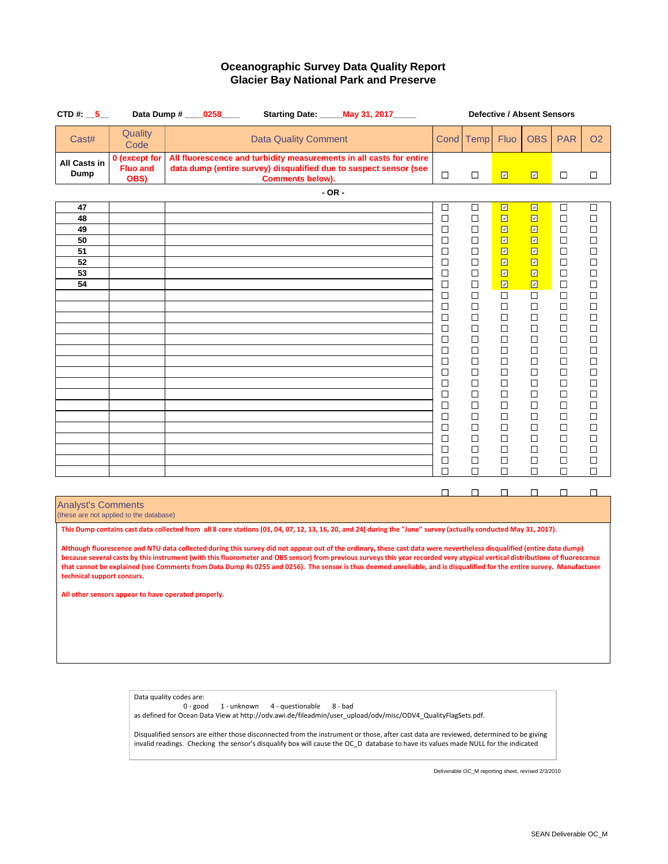| CTD#: $\_5$                |                                                     | Data Dump # _____0258____ |                             |            | Starting Date: _____ May 31, 2017_____                                                                                                                                                                                                                                                                                                                  |             | <b>Defective / Absent Sensors</b> |                |             |             |                  |  |
|----------------------------|-----------------------------------------------------|---------------------------|-----------------------------|------------|---------------------------------------------------------------------------------------------------------------------------------------------------------------------------------------------------------------------------------------------------------------------------------------------------------------------------------------------------------|-------------|-----------------------------------|----------------|-------------|-------------|------------------|--|
| Cast#                      | Quality<br>Code                                     |                           | <b>Data Quality Comment</b> |            |                                                                                                                                                                                                                                                                                                                                                         | Cond        | <b>Temp</b>                       | Fluo           | <b>OBS</b>  | <b>PAR</b>  | <b>O2</b>        |  |
| All Casts in<br>Dump       | 0 (except for<br><b>Fluo and</b><br>OBS)            |                           | <b>Comments below).</b>     |            | All fluorescence and turbidity measurements in all casts for entire<br>data dump (entire survey) disqualified due to suspect sensor (see                                                                                                                                                                                                                | $\Box$      | □                                 | 回              | ⊡           | $\Box$      | □                |  |
|                            |                                                     |                           |                             | $-$ OR $-$ |                                                                                                                                                                                                                                                                                                                                                         |             |                                   |                |             |             |                  |  |
| 47                         |                                                     |                           |                             |            |                                                                                                                                                                                                                                                                                                                                                         | $\Box$      | $\Box$                            | ⊡              | ⊡           | □           | □                |  |
| 48<br>49                   |                                                     |                           |                             |            |                                                                                                                                                                                                                                                                                                                                                         | $\Box$<br>□ | $\Box$<br>□                       | $\boxdot$<br>⊡ | ⊡<br>⊡      | $\Box$<br>□ | $\Box$<br>$\Box$ |  |
| 50                         |                                                     |                           |                             |            |                                                                                                                                                                                                                                                                                                                                                         | □           | □                                 | 回              | ⊡           | □           | $\Box$           |  |
| 51                         |                                                     |                           |                             |            |                                                                                                                                                                                                                                                                                                                                                         | □           | $\Box$                            | $\boxdot$      | ⊡           | $\Box$      | □                |  |
| 52                         |                                                     |                           |                             |            |                                                                                                                                                                                                                                                                                                                                                         | □           | □                                 | ⊡              | ⊡           | □           | $\Box$           |  |
| 53<br>54                   |                                                     |                           |                             |            |                                                                                                                                                                                                                                                                                                                                                         | □<br>□      | □<br>$\Box$                       | ⊡<br>⊡         | ⊡<br>⊡      | □<br>$\Box$ | □<br>□           |  |
|                            |                                                     |                           |                             |            |                                                                                                                                                                                                                                                                                                                                                         | □           | $\Box$                            | □              | □           | □           | $\Box$           |  |
|                            |                                                     |                           |                             |            |                                                                                                                                                                                                                                                                                                                                                         | □           | □                                 | □              | □           | □           | □                |  |
|                            |                                                     |                           |                             |            |                                                                                                                                                                                                                                                                                                                                                         | □           | $\Box$                            | $\Box$         | $\Box$      | □           | □                |  |
|                            |                                                     |                           |                             |            |                                                                                                                                                                                                                                                                                                                                                         | □<br>□      | □<br>□                            | □<br>□         | □           | □<br>□      | $\Box$<br>□      |  |
|                            |                                                     |                           |                             |            |                                                                                                                                                                                                                                                                                                                                                         | □           | □                                 | □              | □<br>□      | □           | $\Box$           |  |
|                            |                                                     |                           |                             |            |                                                                                                                                                                                                                                                                                                                                                         | □           | $\Box$                            | $\Box$         | $\Box$      | $\Box$      | $\Box$           |  |
|                            |                                                     |                           |                             |            |                                                                                                                                                                                                                                                                                                                                                         | □           | □                                 | □              | □           | □           | □                |  |
|                            |                                                     |                           |                             |            |                                                                                                                                                                                                                                                                                                                                                         | □<br>$\Box$ | □<br>$\Box$                       | □<br>$\Box$    | □<br>$\Box$ | □<br>$\Box$ | □<br>$\Box$      |  |
|                            |                                                     |                           |                             |            |                                                                                                                                                                                                                                                                                                                                                         | □           | $\Box$                            | □              | □           | □           | □                |  |
|                            |                                                     |                           |                             |            |                                                                                                                                                                                                                                                                                                                                                         | □           | □                                 | □              | □           | □           | $\Box$           |  |
|                            |                                                     |                           |                             |            |                                                                                                                                                                                                                                                                                                                                                         | □           | $\Box$                            | □              | □           | □           | $\Box$           |  |
|                            |                                                     |                           |                             |            |                                                                                                                                                                                                                                                                                                                                                         | □           | □                                 | □              | $\Box$      | $\Box$      | $\Box$           |  |
|                            |                                                     |                           |                             |            |                                                                                                                                                                                                                                                                                                                                                         | □<br>$\Box$ | □<br>□                            | □<br>$\Box$    | □<br>$\Box$ | □<br>$\Box$ | $\Box$<br>$\Box$ |  |
|                            |                                                     |                           |                             |            |                                                                                                                                                                                                                                                                                                                                                         | □           | □                                 | □              | □           | □           | $\Box$           |  |
|                            |                                                     |                           |                             |            |                                                                                                                                                                                                                                                                                                                                                         | п           | п                                 | □              | $\Box$      | □           | □                |  |
| <b>Analyst's Comments</b>  |                                                     |                           |                             |            |                                                                                                                                                                                                                                                                                                                                                         |             |                                   |                |             |             |                  |  |
|                            | (these are not applied to the database)             |                           |                             |            |                                                                                                                                                                                                                                                                                                                                                         |             |                                   |                |             |             |                  |  |
|                            |                                                     |                           |                             |            | This Dump contains cast data collected from all 8 core stations (01, 04, 07, 12, 13, 16, 20, and 24) during the "June" survey (actually conducted May 31, 2017).                                                                                                                                                                                        |             |                                   |                |             |             |                  |  |
|                            |                                                     |                           |                             |            | Although fluorescence and NTU data collected during this survey did not appear out of the ordinary, these cast data were nevertheless disqualified (entire data dump)                                                                                                                                                                                   |             |                                   |                |             |             |                  |  |
|                            |                                                     |                           |                             |            | because several casts by this instrument (with this fluorometer and OBS sensor) from previous surveys this year recorded very atypical vertical distributions of fluorescence<br>that cannot be explained (see Comments from Data Dump #s 0255 and 0256). The sensor is thus deemed unreliable, and is disqualified for the entire survey. Manufacturer |             |                                   |                |             |             |                  |  |
| technical support concurs. |                                                     |                           |                             |            |                                                                                                                                                                                                                                                                                                                                                         |             |                                   |                |             |             |                  |  |
|                            | All other sensors appear to have operated properly. |                           |                             |            |                                                                                                                                                                                                                                                                                                                                                         |             |                                   |                |             |             |                  |  |
|                            |                                                     |                           |                             |            |                                                                                                                                                                                                                                                                                                                                                         |             |                                   |                |             |             |                  |  |
|                            |                                                     |                           |                             |            |                                                                                                                                                                                                                                                                                                                                                         |             |                                   |                |             |             |                  |  |
|                            |                                                     |                           |                             |            |                                                                                                                                                                                                                                                                                                                                                         |             |                                   |                |             |             |                  |  |
|                            |                                                     |                           |                             |            |                                                                                                                                                                                                                                                                                                                                                         |             |                                   |                |             |             |                  |  |
|                            |                                                     |                           |                             |            |                                                                                                                                                                                                                                                                                                                                                         |             |                                   |                |             |             |                  |  |
|                            |                                                     |                           |                             |            |                                                                                                                                                                                                                                                                                                                                                         |             |                                   |                |             |             |                  |  |

Data quality codes are: 0 - good 1 - unknown 4 - questionable 8 - bad as defined for Ocean Data View at http://odv.awi.de/fileadmin/user\_upload/odv/misc/ODV4\_QualityFlagSets.pdf.

Disqualified sensors are either those disconnected from the instrument or those, after cast data are reviewed, determined to be giving invalid readings. Checking the sensor's disqualify box will cause the OC\_D database to have its values made NULL for the indicated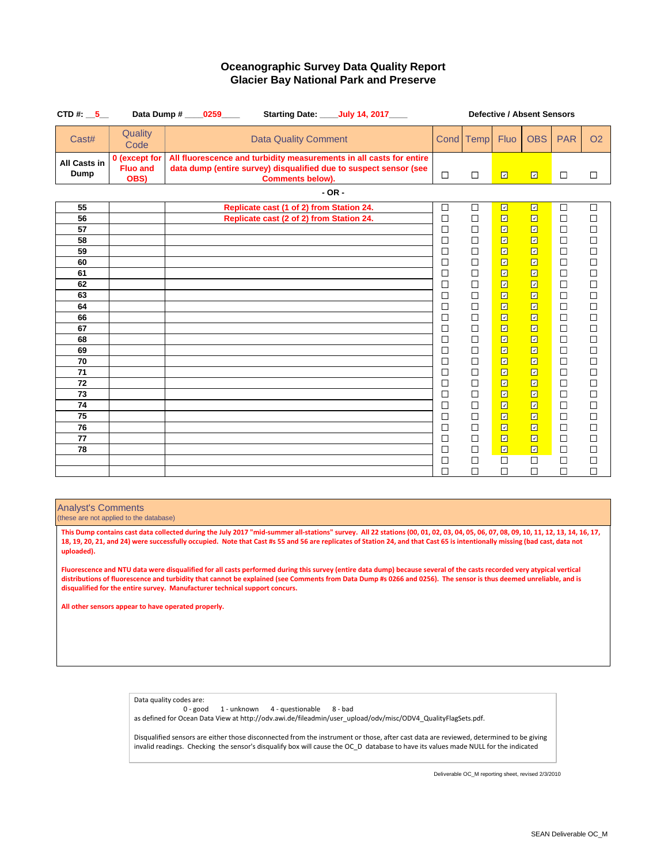| CTD#: $5$            |                                          | Starting Date: July 14, 2017<br>Data Dump # 0259                                                                                                                    | <b>Defective / Absent Sensors</b> |                  |                                   |                                            |                  |                  |
|----------------------|------------------------------------------|---------------------------------------------------------------------------------------------------------------------------------------------------------------------|-----------------------------------|------------------|-----------------------------------|--------------------------------------------|------------------|------------------|
| Cast#                | Quality<br>Code                          | <b>Data Quality Comment</b>                                                                                                                                         |                                   | Cond Temp        | <b>Fluo</b>                       | <b>OBS</b>                                 | <b>PAR</b>       | O <sub>2</sub>   |
| All Casts in<br>Dump | 0 (except for<br><b>Fluo and</b><br>OBS) | All fluorescence and turbidity measurements in all casts for entire<br>data dump (entire survey) disqualified due to suspect sensor (see<br><b>Comments below).</b> | $\Box$                            | $\Box$           | $\overline{\Xi}$                  | $\overline{\Xi}$                           | $\Box$           | $\Box$           |
|                      |                                          | $-OR -$                                                                                                                                                             |                                   |                  |                                   |                                            |                  |                  |
| 55                   |                                          | Replicate cast (1 of 2) from Station 24.                                                                                                                            | □                                 | □                | ⊡                                 | ⊡                                          | □                | □                |
| 56                   |                                          | Replicate cast (2 of 2) from Station 24.                                                                                                                            | $\Box$                            | $\Box$           | $\boxdot$                         | $\overline{\Xi}$                           | $\Box$           | $\Box$           |
| 57                   |                                          |                                                                                                                                                                     | $\Box$                            | $\Box$           | $\overline{\Xi}$                  | $\boxdot$                                  | $\Box$           | □                |
| 58                   |                                          |                                                                                                                                                                     | $\Box$                            | $\Box$           | ⊡                                 | $\overline{\Xi}$                           | $\Box$           | $\Box$           |
| 59                   |                                          |                                                                                                                                                                     | $\Box$                            | $\Box$           | 回                                 | ⊡                                          | $\Box$           | $\Box$           |
| 60                   |                                          |                                                                                                                                                                     | $\Box$                            | $\Box$           | 回                                 | $\overline{\Xi}$                           | $\Box$           | $\Box$           |
| 61                   |                                          |                                                                                                                                                                     | $\Box$                            | $\Box$           | 回                                 | $\overline{\Xi}$                           | $\Box$           | $\Box$           |
| 62<br>63             |                                          |                                                                                                                                                                     | $\Box$<br>$\Box$                  | $\Box$<br>$\Box$ | $\boxdot$<br>$\overline{\boxdot}$ | $\overline{\Xi}$<br>$\overline{\boxtimes}$ | $\Box$<br>$\Box$ | $\Box$<br>$\Box$ |
| 64                   |                                          |                                                                                                                                                                     | □                                 | $\Box$           | $\boxdot$                         | $\overline{\boxtimes}$                     | $\Box$           | $\Box$           |
| 66                   |                                          |                                                                                                                                                                     | $\Box$                            | $\Box$           | $\overline{\Xi}$                  | $\overline{\boxtimes}$                     | $\Box$           | $\Box$           |
| 67                   |                                          |                                                                                                                                                                     | $\Box$                            | $\Box$           | 回                                 | $\boxdot$                                  | $\Box$           | $\Box$           |
| 68                   |                                          |                                                                                                                                                                     | $\Box$                            | □                | 回                                 | $\overline{\Xi}$                           | $\Box$           | $\Box$           |
| 69                   |                                          |                                                                                                                                                                     | □                                 | $\Box$           | 回                                 | $\overline{\Xi}$                           | $\Box$           | $\Box$           |
| 70                   |                                          |                                                                                                                                                                     | □                                 | $\Box$           | 回                                 | $\boxdot$                                  | $\Box$           | $\Box$           |
| 71                   |                                          |                                                                                                                                                                     | $\Box$                            | $\Box$           | $\overline{\Xi}$                  | $\overline{\Xi}$                           | $\Box$           | $\Box$           |
| 72                   |                                          |                                                                                                                                                                     | □                                 | $\Box$           | $\boxdot$                         | $\overline{\Xi}$                           | $\Box$           | $\Box$           |
| 73                   |                                          |                                                                                                                                                                     | $\Box$                            | $\Box$           | $\boxdot$                         | $\overline{\Xi}$                           | $\Box$           | $\Box$           |
| 74                   |                                          |                                                                                                                                                                     | □                                 | $\Box$           | 回                                 | $\overline{\Xi}$                           | $\Box$           | $\Box$           |
| 75                   |                                          |                                                                                                                                                                     | $\Box$                            | $\Box$           | 回                                 | $\overline{\Xi}$                           | $\Box$           | $\Box$           |
| 76                   |                                          |                                                                                                                                                                     | $\Box$                            | □                | $\overline{\Xi}$                  | $\boxdot$                                  | $\Box$           | $\Box$           |
| 77                   |                                          |                                                                                                                                                                     | $\Box$                            | $\Box$           | $\overline{\Xi}$                  | $\boxdot$                                  | $\Box$           | $\Box$           |
| 78                   |                                          |                                                                                                                                                                     | $\Box$                            | $\Box$           | $\boxdot$                         | $\overline{\Xi}$                           | $\Box$           | $\Box$           |
|                      |                                          |                                                                                                                                                                     | $\Box$                            | $\Box$           | $\Box$                            | $\Box$                                     | $\Box$           | $\Box$           |
|                      |                                          |                                                                                                                                                                     | $\Box$                            | $\Box$           | $\Box$                            | $\Box$                                     | $\Box$           | $\Box$           |

## Analyst's Comments

#### (these are not applied to the database)

**This Dump contains cast data collected during the July 2017 "mid-summer all-stations" survey. All 22 stations (00, 01, 02, 03, 04, 05, 06, 07, 08, 09, 10, 11, 12, 13, 14, 16, 17, 18, 19, 20, 21, and 24) were successfully occupied. Note that Cast #s 55 and 56 are replicates of Station 24, and that Cast 65 is intentionally missing (bad cast, data not uploaded).**

**Fluorescence and NTU data were disqualified for all casts performed during this survey (entire data dump) because several of the casts recorded very atypical vertical distributions of fluorescence and turbidity that cannot be explained (see Comments from Data Dump #s 0266 and 0256). The sensor is thus deemed unreliable, and is disqualified for the entire survey. Manufacturer technical support concurs.**

**All other sensors appear to have operated properly.**

Data quality codes are:

0 - good 1 - unknown 4 - questionable 8 - bad as defined for Ocean Data View at http://odv.awi.de/fileadmin/user\_upload/odv/misc/ODV4\_QualityFlagSets.pdf.

Disqualified sensors are either those disconnected from the instrument or those, after cast data are reviewed, determined to be giving invalid readings. Checking the sensor's disqualify box will cause the OC\_D database to have its values made NULL for the indicated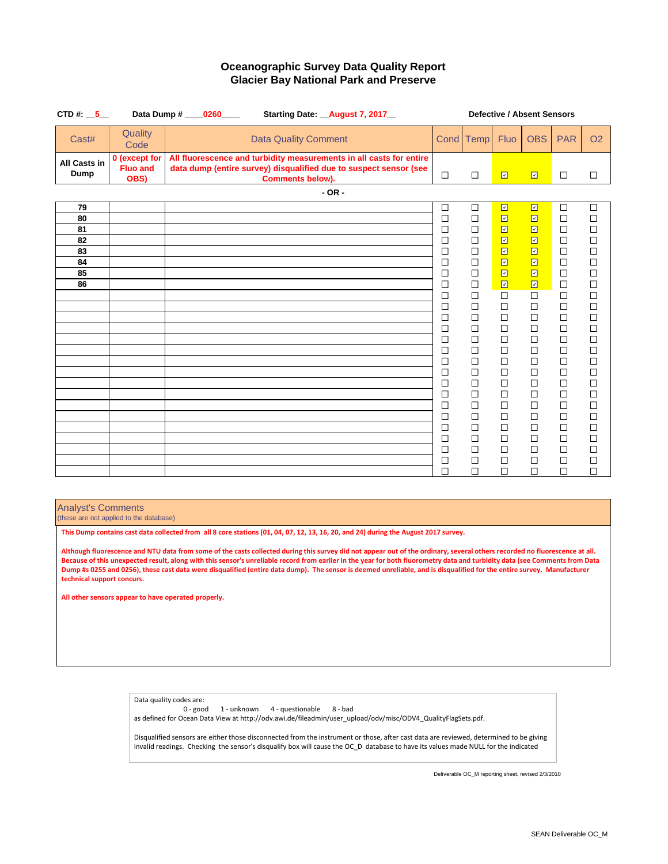| CTD#: $5 -$                                  |                                          | Data Dump # ____0260____<br>Starting Date: __ August 7, 2017_                                                                                                       | <b>Defective / Absent Sensors</b>                                                                                         |                                                                                                                           |                                                                                                                                                                                      |                                                                                                                                                                                     |                                                                                                                           |                                                                                                                           |  |  |
|----------------------------------------------|------------------------------------------|---------------------------------------------------------------------------------------------------------------------------------------------------------------------|---------------------------------------------------------------------------------------------------------------------------|---------------------------------------------------------------------------------------------------------------------------|--------------------------------------------------------------------------------------------------------------------------------------------------------------------------------------|-------------------------------------------------------------------------------------------------------------------------------------------------------------------------------------|---------------------------------------------------------------------------------------------------------------------------|---------------------------------------------------------------------------------------------------------------------------|--|--|
| Cast#                                        | Quality<br>Code                          | <b>Data Quality Comment</b>                                                                                                                                         |                                                                                                                           | Cond Temp                                                                                                                 | <b>Fluo</b>                                                                                                                                                                          | <b>OBS</b>                                                                                                                                                                          | <b>PAR</b>                                                                                                                | O <sub>2</sub>                                                                                                            |  |  |
| All Casts in<br><b>Dump</b>                  | 0 (except for<br><b>Fluo and</b><br>OBS) | All fluorescence and turbidity measurements in all casts for entire<br>data dump (entire survey) disqualified due to suspect sensor (see<br><b>Comments below).</b> | $\Box$                                                                                                                    | $\Box$                                                                                                                    | $\overline{\Xi}$                                                                                                                                                                     | $\overline{\Xi}$                                                                                                                                                                    | $\Box$                                                                                                                    | $\Box$                                                                                                                    |  |  |
|                                              | $-OR -$                                  |                                                                                                                                                                     |                                                                                                                           |                                                                                                                           |                                                                                                                                                                                      |                                                                                                                                                                                     |                                                                                                                           |                                                                                                                           |  |  |
| 79<br>80<br>81<br>82<br>83<br>84<br>85<br>86 |                                          |                                                                                                                                                                     | $\Box$<br>$\Box$<br>$\Box$<br>$\Box$<br>$\Box$<br>$\Box$<br>□<br>$\Box$<br>$\Box$<br>$\Box$<br>$\Box$<br>$\Box$<br>$\Box$ | $\Box$<br>$\Box$<br>$\Box$<br>$\Box$<br>□<br>$\Box$<br>$\Box$<br>$\Box$<br>$\Box$<br>$\Box$<br>$\Box$<br>$\Box$<br>$\Box$ | $\overline{\Xi}$<br>$\overline{\Xi}$<br>$\overline{\Xi}$<br>$\boxdot$<br>回<br>回<br>$\boxdot$<br>$\overline{\boxdot}$<br>$\overline{\square}$<br>$\Box$<br>$\Box$<br>$\Box$<br>$\Box$ | $\overline{\Xi}$<br>$\overline{\Xi}$<br>$\boxdot$<br>$\boxdot$<br>$\boxdot$<br>$\boxdot$<br>$\Box$<br>$\overline{\Xi}$<br>$\overline{\Box}$<br>$\Box$<br>$\Box$<br>$\Box$<br>$\Box$ | □<br>$\Box$<br>$\Box$<br>$\Box$<br>$\Box$<br>$\Box$<br>$\Box$<br>$\Box$<br>$\Box$<br>$\Box$<br>$\Box$<br>$\Box$<br>$\Box$ | □<br>$\Box$<br>$\Box$<br>$\Box$<br>$\Box$<br>$\Box$<br>$\Box$<br>$\Box$<br>$\Box$<br>$\Box$<br>$\Box$<br>$\Box$<br>$\Box$ |  |  |
|                                              |                                          |                                                                                                                                                                     | $\Box$<br>$\Box$<br>$\Box$<br>$\Box$<br>$\Box$<br>$\Box$<br>$\Box$<br>$\Box$<br>$\Box$<br>□<br>$\Box$<br>$\Box$           | $\Box$<br>$\Box$<br>$\Box$<br>$\Box$<br>$\Box$<br>$\Box$<br>$\Box$<br>$\Box$<br>$\Box$<br>□<br>$\Box$<br>$\Box$           | $\Box$<br>$\Box$<br>$\Box$<br>$\Box$<br>$\Box$<br>$\Box$<br>$\Box$<br>$\Box$<br>$\Box$<br>$\Box$<br>$\Box$<br>$\Box$                                                                 | $\Box$<br>$\Box$<br>$\Box$<br>$\Box$<br>$\Box$<br>$\Box$<br>$\Box$<br>$\Box$<br>$\Box$<br>$\Box$<br>$\Box$<br>$\Box$                                                                | $\Box$<br>$\Box$<br>$\Box$<br>$\Box$<br>$\Box$<br>$\Box$<br>$\Box$<br>$\Box$<br>$\Box$<br>$\Box$<br>$\Box$<br>$\Box$      | $\Box$<br>$\Box$<br>$\Box$<br>$\Box$<br>$\Box$<br>$\Box$<br>$\Box$<br>$\Box$<br>$\Box$<br>$\Box$<br>$\Box$<br>$\Box$      |  |  |

## Analyst's Comments

(these are not applied to the database)

**This Dump contains cast data collected from all 8 core stations (01, 04, 07, 12, 13, 16, 20, and 24) during the August 2017 survey.**

**Although fluorescence and NTU data from some of the casts collected during this survey did not appear out of the ordinary, several others recorded no fluorescence at all. Because of this unexpected result, along with this sensor's unreliable record from earlier in the year for both fluorometry data and turbidity data (see Comments from Data Dump #s 0255 and 0256), these cast data were disqualified (entire data dump). The sensor is deemed unreliable, and is disqualified for the entire survey. Manufacturer technical support concurs.**

**All other sensors appear to have operated properly.**

Data quality codes are:<br>0 - good 1 - unknown 4 - questionable 8 - bad as defined for Ocean Data View at http://odv.awi.de/fileadmin/user\_upload/odv/misc/ODV4\_QualityFlagSets.pdf.

Disqualified sensors are either those disconnected from the instrument or those, after cast data are reviewed, determined to be giving invalid readings. Checking the sensor's disqualify box will cause the OC\_D database to have its values made NULL for the indicated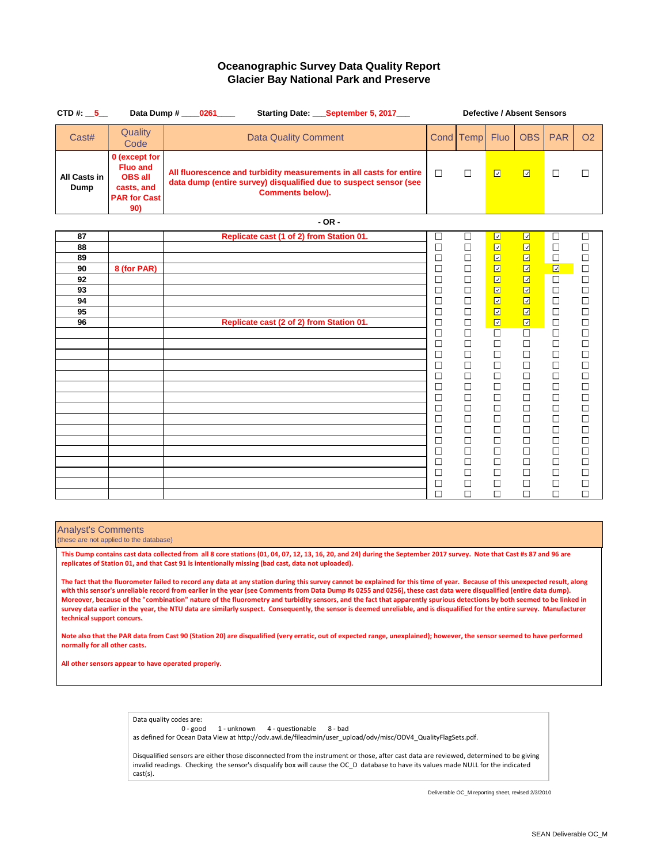| CTD #: $\_5$         |                                                                                                | Starting Date: ___ September 5, 2017___<br>Data Dump # 0261                                                                                                         | <b>Defective / Absent Sensors</b> |                  |                         |                         |                  |                                               |  |  |  |  |
|----------------------|------------------------------------------------------------------------------------------------|---------------------------------------------------------------------------------------------------------------------------------------------------------------------|-----------------------------------|------------------|-------------------------|-------------------------|------------------|-----------------------------------------------|--|--|--|--|
| Cast#                | <b>Quality</b><br>Code                                                                         | <b>Data Quality Comment</b>                                                                                                                                         |                                   | Cond Temp        | <b>Fluo</b>             | <b>OBS</b>              | <b>PAR</b>       | <b>O<sub>2</sub></b>                          |  |  |  |  |
| All Casts in<br>Dump | 0 (except for<br><b>Fluo and</b><br><b>OBS all</b><br>casts, and<br><b>PAR for Cast</b><br>90) | All fluorescence and turbidity measurements in all casts for entire<br>data dump (entire survey) disqualified due to suspect sensor (see<br><b>Comments below).</b> | $\Box$                            | $\Box$           | $\Box$                  | $\Box$                  | $\Box$           | $\Box$                                        |  |  |  |  |
| $-$ OR $-$           |                                                                                                |                                                                                                                                                                     |                                   |                  |                         |                         |                  |                                               |  |  |  |  |
| 87                   |                                                                                                | Replicate cast (1 of 2) from Station 01.                                                                                                                            | $\Box$                            | $\Box$           | $\boxed{\triangledown}$ | ☑                       | □                | $\Box$                                        |  |  |  |  |
| 88                   |                                                                                                |                                                                                                                                                                     | $\Box$                            | $\Box$           | ☑                       | $\boxdot$               | $\Box$           | $\Box$                                        |  |  |  |  |
| 89                   |                                                                                                |                                                                                                                                                                     | $\Box$                            | $\Box$           | $\overline{\Xi}$        | $\Box$                  | $\Box$           | $\Box$                                        |  |  |  |  |
| 90                   | 8 (for PAR)                                                                                    |                                                                                                                                                                     | $\Box$                            | $\Box$           | $\overline{\mathbf{z}}$ | $\overline{\Xi}$        | $\overline{\Xi}$ | $\Box$                                        |  |  |  |  |
| 92                   |                                                                                                |                                                                                                                                                                     | $\Box$                            | $\Box$           | $\Box$                  | $\overline{\mathbb{Z}}$ | $\Box$           | $\Box$                                        |  |  |  |  |
| 93                   |                                                                                                |                                                                                                                                                                     | $\Box$                            | $\Box$           | ⊡                       | $\Box$                  | $\Box$           | $\Box$                                        |  |  |  |  |
| 94                   |                                                                                                |                                                                                                                                                                     | □                                 | $\Box$           | $\overline{\Xi}$        | $\Box$                  | $\Box$           |                                               |  |  |  |  |
| 95                   |                                                                                                |                                                                                                                                                                     | $\Box$                            | $\Box$           | 図                       | $\overline{\Xi}$        | $\Box$           | <b>UUU</b>                                    |  |  |  |  |
| 96                   |                                                                                                | Replicate cast (2 of 2) from Station 01.                                                                                                                            | $\Box$                            | $\Box$           | $\Box$                  | $\overline{\Xi}$        | $\Box$           |                                               |  |  |  |  |
|                      |                                                                                                |                                                                                                                                                                     | $\Box$                            | $\Box$           | $\Box$                  | $\Box$                  | □                | $\Box$                                        |  |  |  |  |
|                      |                                                                                                |                                                                                                                                                                     | $\Box$                            | $\Box$           | $\Box$                  | $\Box$                  | $\Box$           | $\Box$                                        |  |  |  |  |
|                      |                                                                                                |                                                                                                                                                                     | $\Box$                            | $\Box$           | $\Box$                  | $\Box$                  | $\Box$           | $\Box$                                        |  |  |  |  |
|                      |                                                                                                |                                                                                                                                                                     | $\Box$                            | $\Box$           | $\Box$                  | $\Box$                  | $\Box$           | $\Box$                                        |  |  |  |  |
|                      |                                                                                                |                                                                                                                                                                     | $\Box$                            | $\Box$           | $\Box$                  | $\Box$                  | $\Box$           | $\Box$                                        |  |  |  |  |
|                      |                                                                                                |                                                                                                                                                                     | $\Box$                            | $\Box$           | $\Box$                  | $\Box$                  | $\Box$           | $\Box$                                        |  |  |  |  |
|                      |                                                                                                |                                                                                                                                                                     | $\Box$                            | $\Box$<br>$\Box$ | $\Box$<br>$\Box$        | $\Box$<br>$\Box$        | $\Box$<br>$\Box$ | $\begin{array}{c}\n\Box \\ \Box\n\end{array}$ |  |  |  |  |
|                      |                                                                                                |                                                                                                                                                                     | $\Box$                            |                  |                         |                         |                  |                                               |  |  |  |  |

## Analyst's Comments

#### (these are not applied to the database)

**This Dump contains cast data collected from all 8 core stations (01, 04, 07, 12, 13, 16, 20, and 24) during the September 2017 survey. Note that Cast #s 87 and 96 are replicates of Station 01, and that Cast 91 is intentionally missing (bad cast, data not uploaded).**

**The fact that the fluorometer failed to record any data at any station during this survey cannot be explained for this time of year. Because of this unexpected result, along with this sensor's unreliable record from earlier in the year (see Comments from Data Dump #s 0255 and 0256), these cast data were disqualified (entire data dump). Moreover, because of the "combination" nature of the fluorometry and turbidity sensors, and the fact that apparently spurious detections by both seemed to be linked in survey data earlier in the year, the NTU data are similarly suspect. Consequently, the sensor is deemed unreliable, and is disqualified for the entire survey. Manufacturer technical support concurs.**

**Note also that the PAR data from Cast 90 (Station 20) are disqualified (very erratic, out of expected range, unexplained); however, the sensor seemed to have performed normally for all other casts.**

**All other sensors appear to have operated properly.**

cast(s).

Data quality codes are: 0 - good 1 - unknown 4 - questionable 8 - bad as defined for Ocean Data View at http://odv.awi.de/fileadmin/user\_upload/odv/misc/ODV4\_QualityFlagSets.pdf. Disqualified sensors are either those disconnected from the instrument or those, after cast data are reviewed, determined to be giving invalid readings. Checking the sensor's disqualify box will cause the OC\_D database to have its values made NULL for the indicated

Deliverable OC\_M reporting sheet, revised 2/3/2010

 $\Box$ 

 $\Box$ 

 $\Box$ 

 $\Box$ 

 $\Box$ 

 $\Box$ 

 $\Box$ 

 $\Box$ 

 $\Box$ 

 $\Box$ 

 $\Box$ 

 $\Box$ 

 $\Box$ 

 $\Box$ 

 $\Box$ 

 $\Box$ 

 $\Box$ 

 $\Box$ 

 $\Box$ 

 $\Box$ 

 $\Box$ 

 $\Box$ 

 $\Box$ 

 $\Box$ 

 $\Box$ 

 $\Box$ 

 $\Box$ 

 $\Box$ 

 $\Box$ 

 $\Box$ 

 $\Box$ 

 $\Box$ 

 $\Box$ 

 $\Box$ 

 $\Box$ 

 $\Box$ 

 $\Box$ 

 $\Box$ 

 $\Box$ 

 $\Box$ 

 $\Box$ 

 $\Box$ 

 $\Box$ 

 $\Box$ 

 $\Box$ 

 $\Box$ 

 $\Box$ 

 $\Box$